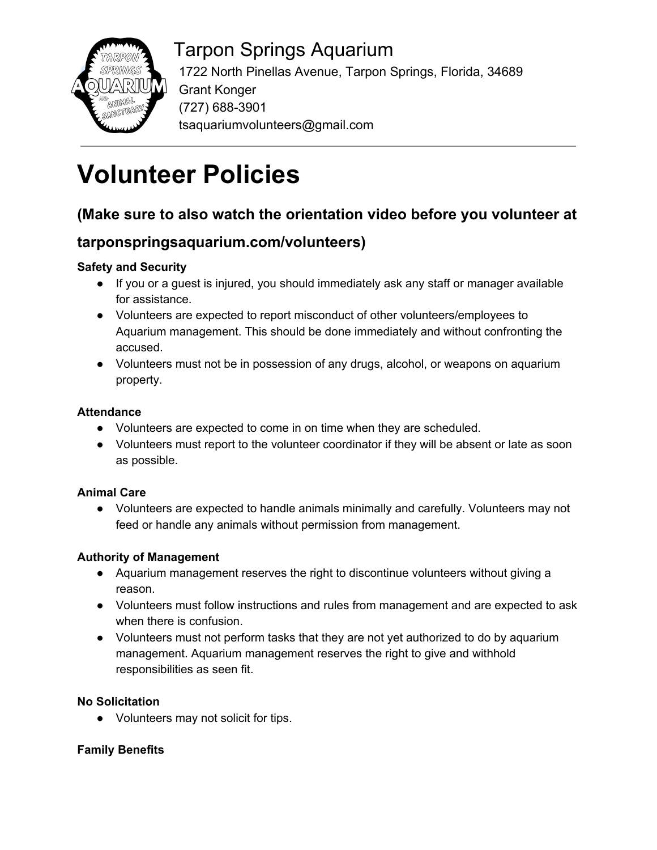

# Tarpon Springs Aquarium

 1722 North Pinellas Avenue, Tarpon Springs, Florida, 34689 Grant Konger (727) 688-3901 tsaquariumvolunteers@gmail.com

# **Volunteer Policies**

# **(Make sure to also watch the orientation video before you volunteer at**

# **tarponspringsaquarium.com/volunteers)**

# **Safety and Security**

- If you or a guest is injured, you should immediately ask any staff or manager available for assistance.
- Volunteers are expected to report misconduct of other volunteers/employees to Aquarium management. This should be done immediately and without confronting the accused.
- Volunteers must not be in possession of any drugs, alcohol, or weapons on aquarium property.

#### **Attendance**

- Volunteers are expected to come in on time when they are scheduled.
- Volunteers must report to the volunteer coordinator if they will be absent or late as soon as possible.

# **Animal Care**

● Volunteers are expected to handle animals minimally and carefully. Volunteers may not feed or handle any animals without permission from management.

# **Authority of Management**

- Aquarium management reserves the right to discontinue volunteers without giving a reason.
- Volunteers must follow instructions and rules from management and are expected to ask when there is confusion.
- Volunteers must not perform tasks that they are not yet authorized to do by aquarium management. Aquarium management reserves the right to give and withhold responsibilities as seen fit.

# **No Solicitation**

● Volunteers may not solicit for tips.

# **Family Benefits**